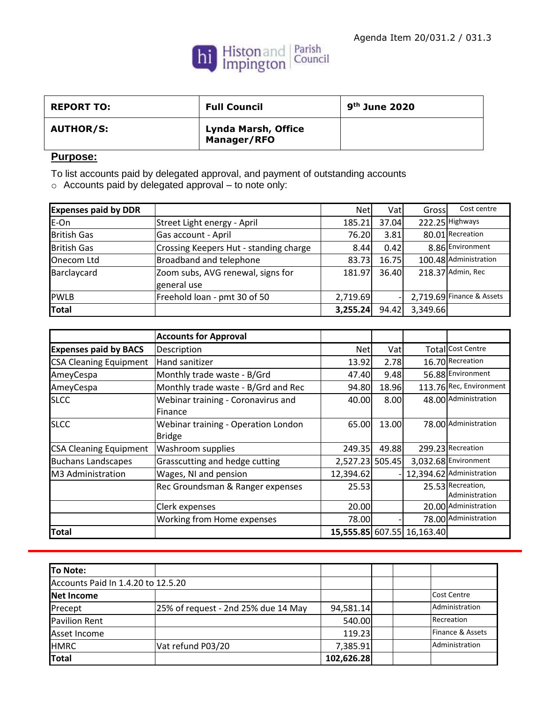

| <b>REPORT TO:</b> | <b>Full Council</b>                              | $9th$ June 2020 |
|-------------------|--------------------------------------------------|-----------------|
| <b>AUTHOR/S:</b>  | <b>Lynda Marsh, Office</b><br><b>Manager/RFO</b> |                 |

## **Purpose:**

To list accounts paid by delegated approval, and payment of outstanding accounts

o Accounts paid by delegated approval – to note only:

| <b>Expenses paid by DDR</b> |                                        | <b>Net</b> | Vatl  | Gross    | Cost centre                 |
|-----------------------------|----------------------------------------|------------|-------|----------|-----------------------------|
| E-On                        | Street Light energy - April            | 185.21     | 37.04 |          | 222.25 Highways             |
| <b>British Gas</b>          | Gas account - April                    | 76.20      | 3.81  |          | 80.01 Recreation            |
| <b>British Gas</b>          | Crossing Keepers Hut - standing charge | 8.44       | 0.42  |          | 8.86 Environment            |
| Onecom Ltd                  | Broadband and telephone                | 83.73      | 16.75 |          | 100.48 Administration       |
| Barclaycard                 | Zoom subs, AVG renewal, signs for      | 181.97     | 36.40 |          | 218.37 Admin, Rec           |
|                             | general use                            |            |       |          |                             |
| <b>PWLB</b>                 | Freehold loan - pmt 30 of 50           | 2,719.69   |       |          | $2,719.69$ Finance & Assets |
| <b>Total</b>                |                                        | 3,255.24   | 94.42 | 3,349.66 |                             |

|                               | <b>Accounts for Approval</b>                 |                 |       |                            |                          |
|-------------------------------|----------------------------------------------|-----------------|-------|----------------------------|--------------------------|
| <b>Expenses paid by BACS</b>  | Description                                  | <b>Net</b>      | Vatl  |                            | <b>Total</b> Cost Centre |
| <b>CSA Cleaning Equipment</b> | Hand sanitizer                               | 13.92           | 2.78  |                            | 16.70 Recreation         |
| AmeyCespa                     | 9.48<br>Monthly trade waste - B/Grd<br>47.40 |                 |       | 56.88 Environment          |                          |
| AmeyCespa                     | Monthly trade waste - B/Grd and Rec          | 94.80           | 18.96 |                            | 113.76 Rec, Environment  |
| <b>SLCC</b>                   | Webinar training - Coronavirus and           | 40.00           | 8.00  |                            | 48.00 Administration     |
|                               | <b>IFinance</b>                              |                 |       |                            |                          |
| <b>SLCC</b>                   | Webinar training - Operation London          | 65.00           | 13.00 |                            | 78.00 Administration     |
|                               | Bridge                                       |                 |       |                            |                          |
| <b>CSA Cleaning Equipment</b> | <b>Washroom supplies</b>                     | 249.35          | 49.88 |                            | 299.23 Recreation        |
| <b>Buchans Landscapes</b>     | Grasscutting and hedge cutting               | 2,527.23 505.45 |       |                            | 3,032.68 Environment     |
| M3 Administration             | Wages, NI and pension                        | 12,394.62       |       |                            | 12,394.62 Administration |
|                               | Rec Groundsman & Ranger expenses             | 25.53           |       |                            | 25.53 Recreation,        |
|                               |                                              |                 |       |                            | Administration           |
|                               | Clerk expenses                               | 20.00           |       |                            | 20.00 Administration     |
|                               | Working from Home expenses                   | 78.00           |       |                            | 78.00 Administration     |
| <b>Total</b>                  |                                              |                 |       | 15,555.85 607.55 16,163.40 |                          |

| To Note:                           |                                     |            |  |                  |
|------------------------------------|-------------------------------------|------------|--|------------------|
| Accounts Paid In 1.4.20 to 12.5.20 |                                     |            |  |                  |
| Net Income                         |                                     |            |  | Cost Centre      |
| Precept                            | 25% of request - 2nd 25% due 14 May | 94,581.14  |  | Administration   |
| <b>Pavilion Rent</b>               |                                     | 540.00     |  | Recreation       |
| Asset Income                       |                                     | 119.23     |  | Finance & Assets |
| <b>HMRC</b>                        | Vat refund P03/20                   | 7,385.91   |  | Administration   |
| <b>Total</b>                       |                                     | 102,626.28 |  |                  |